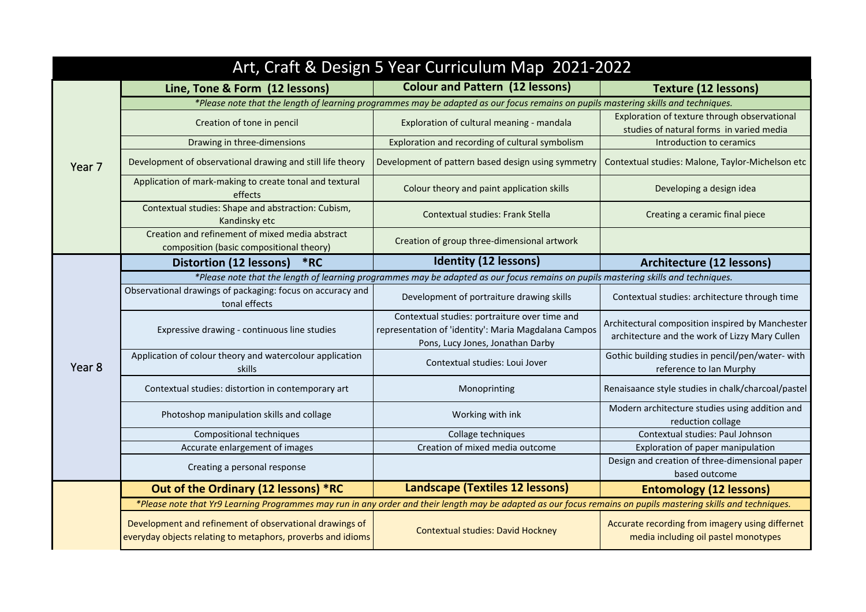| Art, Craft & Design 5 Year Curriculum Map 2021-2022 |                                                                                                                                                                |                                                                                                                                           |                                                                                                    |  |
|-----------------------------------------------------|----------------------------------------------------------------------------------------------------------------------------------------------------------------|-------------------------------------------------------------------------------------------------------------------------------------------|----------------------------------------------------------------------------------------------------|--|
|                                                     | Line, Tone & Form (12 lessons)                                                                                                                                 | <b>Colour and Pattern (12 lessons)</b>                                                                                                    | <b>Texture (12 lessons)</b>                                                                        |  |
|                                                     | *Please note that the length of learning programmes may be adapted as our focus remains on pupils mastering skills and techniques.                             |                                                                                                                                           |                                                                                                    |  |
| Year <sub>7</sub>                                   | Creation of tone in pencil                                                                                                                                     | Exploration of cultural meaning - mandala                                                                                                 | Exploration of texture through observational<br>studies of natural forms in varied media           |  |
|                                                     | Drawing in three-dimensions                                                                                                                                    | Exploration and recording of cultural symbolism                                                                                           | Introduction to ceramics                                                                           |  |
|                                                     | Development of observational drawing and still life theory                                                                                                     | Development of pattern based design using symmetry                                                                                        | Contextual studies: Malone, Taylor-Michelson etc                                                   |  |
|                                                     | Application of mark-making to create tonal and textural<br>effects                                                                                             | Colour theory and paint application skills                                                                                                | Developing a design idea                                                                           |  |
|                                                     | Contextual studies: Shape and abstraction: Cubism,<br>Kandinsky etc                                                                                            | <b>Contextual studies: Frank Stella</b>                                                                                                   | Creating a ceramic final piece                                                                     |  |
|                                                     | Creation and refinement of mixed media abstract<br>composition (basic compositional theory)                                                                    | Creation of group three-dimensional artwork                                                                                               |                                                                                                    |  |
|                                                     | <b>Distortion (12 lessons)</b><br>*RC                                                                                                                          | <b>Identity (12 lessons)</b>                                                                                                              | <b>Architecture (12 lessons)</b>                                                                   |  |
|                                                     |                                                                                                                                                                | *Please note that the length of learning programmes may be adapted as our focus remains on pupils mastering skills and techniques.        |                                                                                                    |  |
| Year <sub>8</sub>                                   | Observational drawings of packaging: focus on accuracy and<br>tonal effects                                                                                    | Development of portraiture drawing skills                                                                                                 | Contextual studies: architecture through time                                                      |  |
|                                                     | Expressive drawing - continuous line studies                                                                                                                   | Contextual studies: portraiture over time and<br>representation of 'identity': Maria Magdalana Campos<br>Pons, Lucy Jones, Jonathan Darby | Architectural composition inspired by Manchester<br>architecture and the work of Lizzy Mary Cullen |  |
|                                                     | Application of colour theory and watercolour application<br>skills                                                                                             | Contextual studies: Loui Jover                                                                                                            | Gothic building studies in pencil/pen/water-with<br>reference to Ian Murphy                        |  |
|                                                     | Contextual studies: distortion in contemporary art                                                                                                             | Monoprinting                                                                                                                              | Renaisaance style studies in chalk/charcoal/pastel                                                 |  |
|                                                     | Photoshop manipulation skills and collage                                                                                                                      | Working with ink                                                                                                                          | Modern architecture studies using addition and<br>reduction collage                                |  |
|                                                     | <b>Compositional techniques</b>                                                                                                                                | Collage techniques                                                                                                                        | Contextual studies: Paul Johnson                                                                   |  |
|                                                     | Accurate enlargement of images                                                                                                                                 | Creation of mixed media outcome                                                                                                           | Exploration of paper manipulation                                                                  |  |
|                                                     | Creating a personal response                                                                                                                                   |                                                                                                                                           | Design and creation of three-dimensional paper<br>based outcome                                    |  |
|                                                     | Out of the Ordinary (12 lessons) *RC                                                                                                                           | Landscape (Textiles 12 lessons)                                                                                                           | <b>Entomology (12 lessons)</b>                                                                     |  |
|                                                     | *Please note that Yr9 Learning Programmes may run in any order and their length may be adapted as our focus remains on pupils mastering skills and techniques. |                                                                                                                                           |                                                                                                    |  |
|                                                     | Development and refinement of observational drawings of<br>everyday objects relating to metaphors, proverbs and idioms                                         | <b>Contextual studies: David Hockney</b>                                                                                                  | Accurate recording from imagery using differnet<br>media including oil pastel monotypes            |  |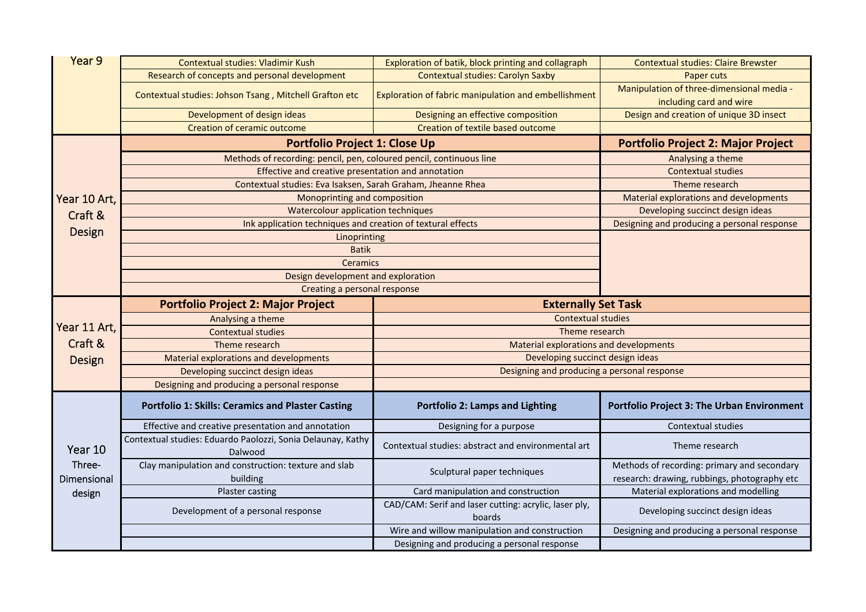| Year 9                                   | Contextual studies: Vladimir Kush                                      | Exploration of batik, block printing and collagraph             | <b>Contextual studies: Claire Brewster</b>        |  |
|------------------------------------------|------------------------------------------------------------------------|-----------------------------------------------------------------|---------------------------------------------------|--|
|                                          | Research of concepts and personal development                          | <b>Contextual studies: Carolyn Saxby</b>                        | Paper cuts                                        |  |
|                                          | Contextual studies: Johson Tsang, Mitchell Grafton etc                 | Exploration of fabric manipulation and embellishment            | Manipulation of three-dimensional media -         |  |
|                                          |                                                                        |                                                                 | including card and wire                           |  |
|                                          | Development of design ideas                                            | Designing an effective composition                              | Design and creation of unique 3D insect           |  |
|                                          | Creation of ceramic outcome                                            | Creation of textile based outcome                               |                                                   |  |
|                                          | <b>Portfolio Project 1: Close Up</b>                                   |                                                                 | <b>Portfolio Project 2: Major Project</b>         |  |
|                                          | Methods of recording: pencil, pen, coloured pencil, continuous line    |                                                                 | Analysing a theme                                 |  |
|                                          | Effective and creative presentation and annotation                     |                                                                 | <b>Contextual studies</b>                         |  |
|                                          | Contextual studies: Eva Isaksen, Sarah Graham, Jheanne Rhea            |                                                                 | Theme research                                    |  |
| Year 10 Art,<br>Craft &<br><b>Design</b> | Monoprinting and composition                                           |                                                                 | Material explorations and developments            |  |
|                                          | Watercolour application techniques                                     |                                                                 | Developing succinct design ideas                  |  |
|                                          | Ink application techniques and creation of textural effects            |                                                                 | Designing and producing a personal response       |  |
|                                          | Linoprinting                                                           |                                                                 |                                                   |  |
|                                          | <b>Batik</b>                                                           |                                                                 |                                                   |  |
|                                          | <b>Ceramics</b>                                                        |                                                                 |                                                   |  |
|                                          | Design development and exploration                                     |                                                                 |                                                   |  |
|                                          | Creating a personal response                                           |                                                                 |                                                   |  |
|                                          | <b>Portfolio Project 2: Major Project</b>                              | <b>Externally Set Task</b>                                      |                                                   |  |
|                                          | Analysing a theme                                                      | <b>Contextual studies</b>                                       |                                                   |  |
| Year 11 Art,                             | <b>Contextual studies</b>                                              | Theme research                                                  |                                                   |  |
| Craft &                                  | Theme research                                                         | <b>Material explorations and developments</b>                   |                                                   |  |
| <b>Design</b>                            | Material explorations and developments                                 | Developing succinct design ideas                                |                                                   |  |
|                                          | Developing succinct design ideas                                       | Designing and producing a personal response                     |                                                   |  |
|                                          | Designing and producing a personal response                            |                                                                 |                                                   |  |
|                                          | <b>Portfolio 1: Skills: Ceramics and Plaster Casting</b>               | <b>Portfolio 2: Lamps and Lighting</b>                          | <b>Portfolio Project 3: The Urban Environment</b> |  |
|                                          | Effective and creative presentation and annotation                     | Designing for a purpose                                         | <b>Contextual studies</b>                         |  |
| Year 10                                  | Contextual studies: Eduardo Paolozzi, Sonia Delaunay, Kathy<br>Dalwood | Contextual studies: abstract and environmental art              | Theme research                                    |  |
| Three-                                   | Clay manipulation and construction: texture and slab                   |                                                                 | Methods of recording: primary and secondary       |  |
| Dimensional                              | building                                                               | Sculptural paper techniques                                     | research: drawing, rubbings, photography etc      |  |
| design                                   | Plaster casting                                                        | Card manipulation and construction                              | Material explorations and modelling               |  |
|                                          | Development of a personal response                                     | CAD/CAM: Serif and laser cutting: acrylic, laser ply,<br>boards | Developing succinct design ideas                  |  |
|                                          |                                                                        | Wire and willow manipulation and construction                   | Designing and producing a personal response       |  |
|                                          |                                                                        | Designing and producing a personal response                     |                                                   |  |